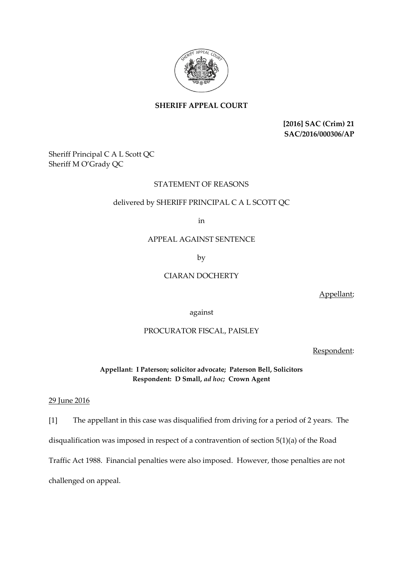

# **SHERIFF APPEAL COURT**

**[2016] SAC (Crim) 21 SAC/2016/000306/AP**

Sheriff Principal C A L Scott QC Sheriff M O'Grady QC

## STATEMENT OF REASONS

#### delivered by SHERIFF PRINCIPAL C A L SCOTT QC

in

### APPEAL AGAINST SENTENCE

by

## CIARAN DOCHERTY

Appellant;

against

#### PROCURATOR FISCAL, PAISLEY

Respondent:

**Appellant: I Paterson; solicitor advocate; Paterson Bell, Solicitors Respondent: D Small,** *ad hoc;* **Crown Agent** 

#### 29 June 2016

[1] The appellant in this case was disqualified from driving for a period of 2 years. The disqualification was imposed in respect of a contravention of section 5(1)(a) of the Road Traffic Act 1988. Financial penalties were also imposed. However, those penalties are not challenged on appeal.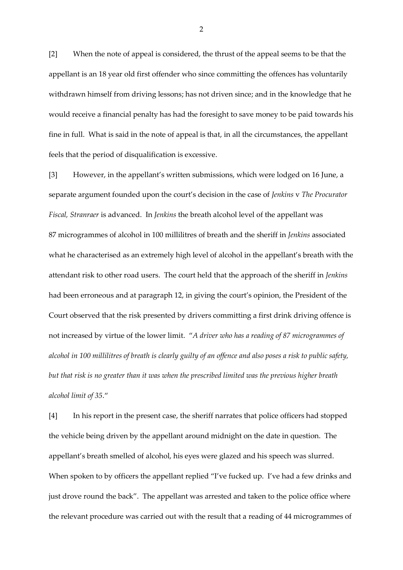[2] When the note of appeal is considered, the thrust of the appeal seems to be that the appellant is an 18 year old first offender who since committing the offences has voluntarily withdrawn himself from driving lessons; has not driven since; and in the knowledge that he would receive a financial penalty has had the foresight to save money to be paid towards his fine in full. What is said in the note of appeal is that, in all the circumstances, the appellant feels that the period of disqualification is excessive.

[3] However, in the appellant's written submissions, which were lodged on 16 June, a separate argument founded upon the court's decision in the case of *Jenkins* v *The Procurator Fiscal, Stranraer* is advanced. In *Jenkins* the breath alcohol level of the appellant was 87 microgrammes of alcohol in 100 millilitres of breath and the sheriff in *Jenkins* associated what he characterised as an extremely high level of alcohol in the appellant's breath with the attendant risk to other road users. The court held that the approach of the sheriff in *Jenkins* had been erroneous and at paragraph 12, in giving the court's opinion, the President of the Court observed that the risk presented by drivers committing a first drink driving offence is not increased by virtue of the lower limit. "*A driver who has a reading of 87 microgrammes of alcohol in 100 millilitres of breath is clearly guilty of an offence and also poses a risk to public safety, but that risk is no greater than it was when the prescribed limited was the previous higher breath alcohol limit of 35*."

[4] In his report in the present case, the sheriff narrates that police officers had stopped the vehicle being driven by the appellant around midnight on the date in question. The appellant's breath smelled of alcohol, his eyes were glazed and his speech was slurred. When spoken to by officers the appellant replied "I've fucked up. I've had a few drinks and just drove round the back". The appellant was arrested and taken to the police office where the relevant procedure was carried out with the result that a reading of 44 microgrammes of

2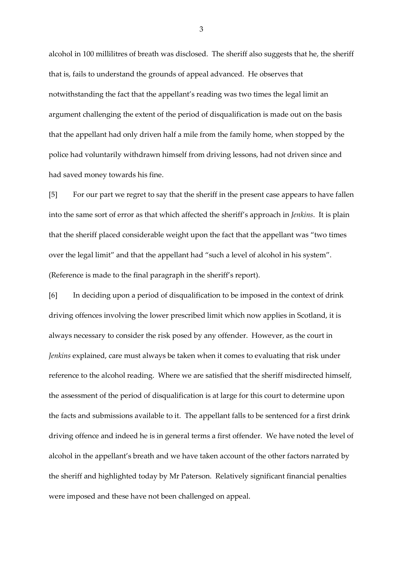alcohol in 100 millilitres of breath was disclosed. The sheriff also suggests that he, the sheriff that is, fails to understand the grounds of appeal advanced. He observes that notwithstanding the fact that the appellant's reading was two times the legal limit an argument challenging the extent of the period of disqualification is made out on the basis that the appellant had only driven half a mile from the family home, when stopped by the police had voluntarily withdrawn himself from driving lessons, had not driven since and had saved money towards his fine.

[5] For our part we regret to say that the sheriff in the present case appears to have fallen into the same sort of error as that which affected the sheriff's approach in *Jenkins*. It is plain that the sheriff placed considerable weight upon the fact that the appellant was "two times over the legal limit" and that the appellant had "such a level of alcohol in his system". (Reference is made to the final paragraph in the sheriff's report).

[6] In deciding upon a period of disqualification to be imposed in the context of drink driving offences involving the lower prescribed limit which now applies in Scotland, it is always necessary to consider the risk posed by any offender. However, as the court in *Jenkins* explained, care must always be taken when it comes to evaluating that risk under reference to the alcohol reading. Where we are satisfied that the sheriff misdirected himself, the assessment of the period of disqualification is at large for this court to determine upon the facts and submissions available to it. The appellant falls to be sentenced for a first drink driving offence and indeed he is in general terms a first offender. We have noted the level of alcohol in the appellant's breath and we have taken account of the other factors narrated by the sheriff and highlighted today by Mr Paterson. Relatively significant financial penalties were imposed and these have not been challenged on appeal.

3